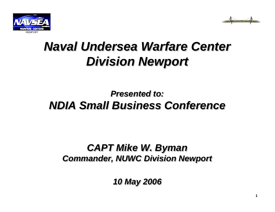



# *Naval Undersea Warfare Center Naval Undersea Warfare Center Division Newport Division Newport*

#### *Presented to:Presented to:NDIA Small Business Conference NDIA Small Business Conference*

#### *CAPT Mike W. Byman CAPT Mike W. Byman Commander, NUWC Division Newport Commander, NUWC Division Newport*

*10 May 2006 10 May 2006*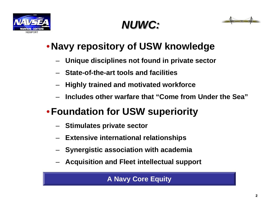





## •**Navy repository of USW knowledge**

- **Unique disciplines not found in private sector**
- **State-of-the-art tools and facilities**
- **Highly trained and motivated workforce**
- **Includes other warfare that "Come from Under the Sea"**

## •**Foundation for USW superiority**

- **Stimulates private sector**
- **Extensive international relationships**
- **Synergistic association with academia**
- **Acquisition and Fleet intellectual support**

**A Navy Core Equity**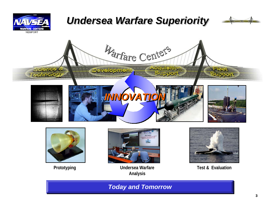

#### *Undersea Warfare Superiority Undersea Warfare Superiority*









**Prototyping Test & Evaluation Undersea Warfare Test & Evaluation Analysis**



#### *Today and Tomorrow Today and Tomorrow*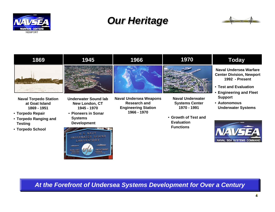

#### *Our Heritage Our Heritage*





*At the Forefront of Undersea Systems Development for Over a Century At the Forefront of Undersea Systems Development for Over a Century*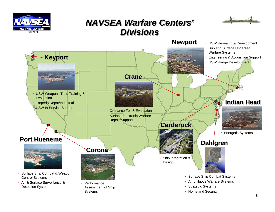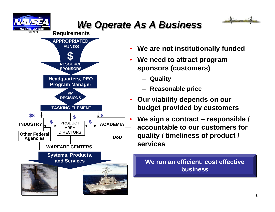

### *We Operate As A Business We Operate As A Business*

•



**Requirements Requirements**



- •**We are not institutionally funded**
- • **We need to attract program sponsors (customers)**
	- **Quality**
	- **Reasonable price**
- • **Our viability depends on our budget provided by customers**
	- **We sign a contract – responsible / accountable to our customers for quality / timeliness of product / services**

**We run an efficient, cost effective We run an efficient, cost effective businessbusiness**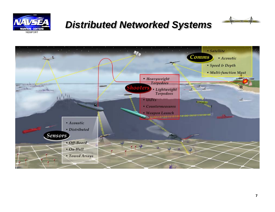

#### *Distributed Networked Systems Distributed Networked Systems*